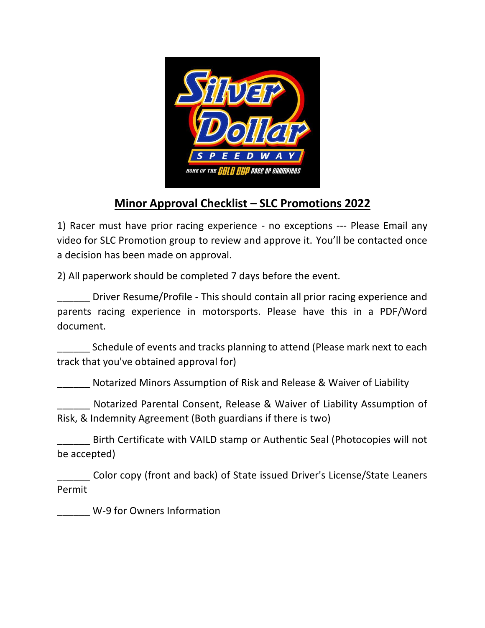

## **Minor Approval Checklist – SLC Promotions 2022**

1) Racer must have prior racing experience - no exceptions --- Please Email any video for SLC Promotion group to review and approve it. You'll be contacted once a decision has been made on approval.

2) All paperwork should be completed 7 days before the event.

\_\_\_\_\_\_ Driver Resume/Profile - This should contain all prior racing experience and parents racing experience in motorsports. Please have this in a PDF/Word document.

\_\_\_\_\_\_ Schedule of events and tracks planning to attend (Please mark next to each track that you've obtained approval for)

\_\_\_\_\_\_ Notarized Minors Assumption of Risk and Release & Waiver of Liability

\_\_\_\_\_\_ Notarized Parental Consent, Release & Waiver of Liability Assumption of Risk, & Indemnity Agreement (Both guardians if there is two)

\_\_\_\_\_\_ Birth Certificate with VAILD stamp or Authentic Seal (Photocopies will not be accepted)

\_\_\_\_\_\_ Color copy (front and back) of State issued Driver's License/State Leaners Permit

\_\_\_\_\_\_ W-9 for Owners Information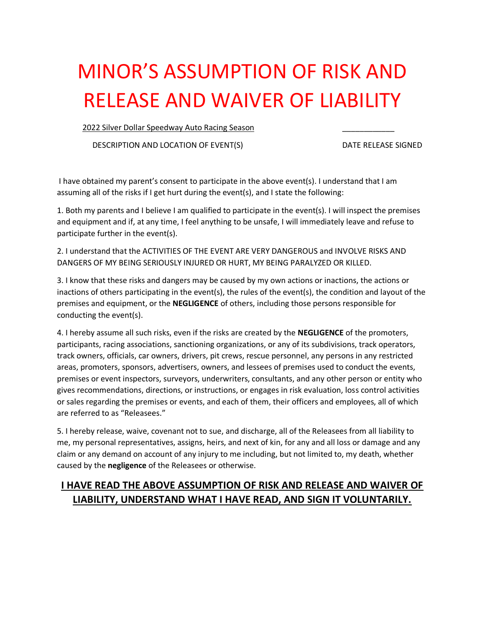# MINOR'S ASSUMPTION OF RISK AND RELEASE AND WAIVER OF LIABILITY

2022 Silver Dollar Speedway Auto Racing Season

DESCRIPTION AND LOCATION OF EVENT(S) DATE RELEASE SIGNED

I have obtained my parent's consent to participate in the above event(s). I understand that I am assuming all of the risks if I get hurt during the event(s), and I state the following:

1. Both my parents and I believe I am qualified to participate in the event(s). I will inspect the premises and equipment and if, at any time, I feel anything to be unsafe, I will immediately leave and refuse to participate further in the event(s).

2. I understand that the ACTIVITIES OF THE EVENT ARE VERY DANGEROUS and INVOLVE RISKS AND DANGERS OF MY BEING SERIOUSLY INJURED OR HURT, MY BEING PARALYZED OR KILLED.

3. I know that these risks and dangers may be caused by my own actions or inactions, the actions or inactions of others participating in the event(s), the rules of the event(s), the condition and layout of the premises and equipment, or the **NEGLIGENCE** of others, including those persons responsible for conducting the event(s).

4. I hereby assume all such risks, even if the risks are created by the **NEGLIGENCE** of the promoters, participants, racing associations, sanctioning organizations, or any of its subdivisions, track operators, track owners, officials, car owners, drivers, pit crews, rescue personnel, any persons in any restricted areas, promoters, sponsors, advertisers, owners, and lessees of premises used to conduct the events, premises or event inspectors, surveyors, underwriters, consultants, and any other person or entity who gives recommendations, directions, or instructions, or engages in risk evaluation, loss control activities or sales regarding the premises or events, and each of them, their officers and employees, all of which are referred to as "Releasees."

5. I hereby release, waive, covenant not to sue, and discharge, all of the Releasees from all liability to me, my personal representatives, assigns, heirs, and next of kin, for any and all loss or damage and any claim or any demand on account of any injury to me including, but not limited to, my death, whether caused by the **negligence** of the Releasees or otherwise.

### **I HAVE READ THE ABOVE ASSUMPTION OF RISK AND RELEASE AND WAIVER OF LIABILITY, UNDERSTAND WHAT I HAVE READ, AND SIGN IT VOLUNTARILY.**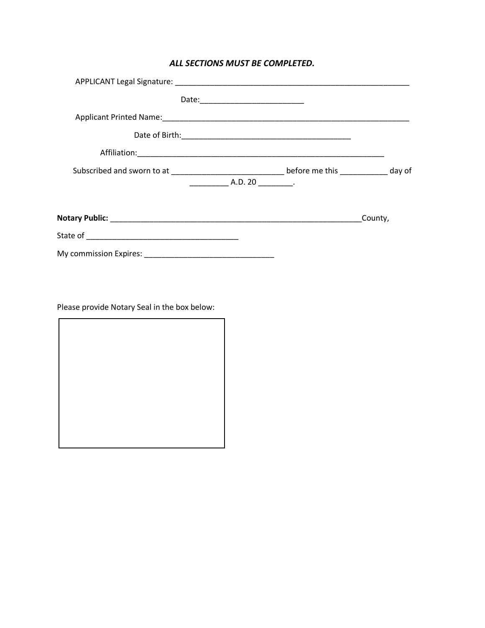#### *ALL SECTIONS MUST BE COMPLETED.*

| $\begin{array}{ccc} \begin{array}{ccc} \text{A.D. 20} \end{array} \end{array}$ . |         |  |
|----------------------------------------------------------------------------------|---------|--|
|                                                                                  | County, |  |
|                                                                                  |         |  |
|                                                                                  |         |  |

Please provide Notary Seal in the box below:

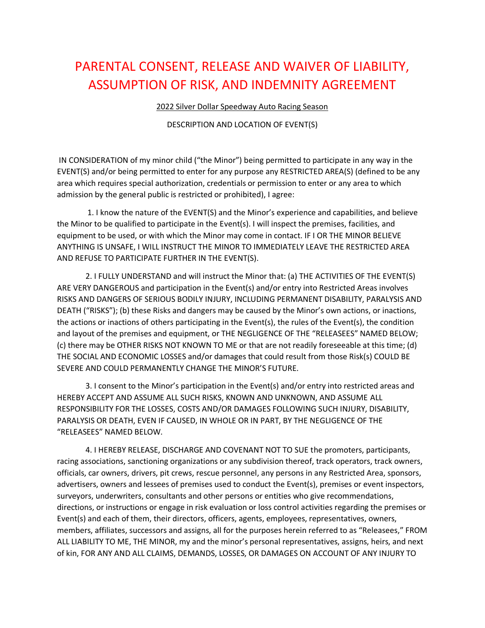## PARENTAL CONSENT, RELEASE AND WAIVER OF LIABILITY, ASSUMPTION OF RISK, AND INDEMNITY AGREEMENT

2022 Silver Dollar Speedway Auto Racing Season

DESCRIPTION AND LOCATION OF EVENT(S)

IN CONSIDERATION of my minor child ("the Minor") being permitted to participate in any way in the EVENT(S) and/or being permitted to enter for any purpose any RESTRICTED AREA(S) (defined to be any area which requires special authorization, credentials or permission to enter or any area to which admission by the general public is restricted or prohibited), I agree:

1. I know the nature of the EVENT(S) and the Minor's experience and capabilities, and believe the Minor to be qualified to participate in the Event(s). I will inspect the premises, facilities, and equipment to be used, or with which the Minor may come in contact. IF I OR THE MINOR BELIEVE ANYTHING IS UNSAFE, I WILL INSTRUCT THE MINOR TO IMMEDIATELY LEAVE THE RESTRICTED AREA AND REFUSE TO PARTICIPATE FURTHER IN THE EVENT(S).

2. I FULLY UNDERSTAND and will instruct the Minor that: (a) THE ACTIVITIES OF THE EVENT(S) ARE VERY DANGEROUS and participation in the Event(s) and/or entry into Restricted Areas involves RISKS AND DANGERS OF SERIOUS BODILY INJURY, INCLUDING PERMANENT DISABILITY, PARALYSIS AND DEATH ("RISKS"); (b) these Risks and dangers may be caused by the Minor's own actions, or inactions, the actions or inactions of others participating in the Event(s), the rules of the Event(s), the condition and layout of the premises and equipment, or THE NEGLIGENCE OF THE "RELEASEES" NAMED BELOW; (c) there may be OTHER RISKS NOT KNOWN TO ME or that are not readily foreseeable at this time; (d) THE SOCIAL AND ECONOMIC LOSSES and/or damages that could result from those Risk(s) COULD BE SEVERE AND COULD PERMANENTLY CHANGE THE MINOR'S FUTURE.

3. I consent to the Minor's participation in the Event(s) and/or entry into restricted areas and HEREBY ACCEPT AND ASSUME ALL SUCH RISKS, KNOWN AND UNKNOWN, AND ASSUME ALL RESPONSIBILITY FOR THE LOSSES, COSTS AND/OR DAMAGES FOLLOWING SUCH INJURY, DISABILITY, PARALYSIS OR DEATH, EVEN IF CAUSED, IN WHOLE OR IN PART, BY THE NEGLIGENCE OF THE "RELEASEES" NAMED BELOW.

4. I HEREBY RELEASE, DISCHARGE AND COVENANT NOT TO SUE the promoters, participants, racing associations, sanctioning organizations or any subdivision thereof, track operators, track owners, officials, car owners, drivers, pit crews, rescue personnel, any persons in any Restricted Area, sponsors, advertisers, owners and lessees of premises used to conduct the Event(s), premises or event inspectors, surveyors, underwriters, consultants and other persons or entities who give recommendations, directions, or instructions or engage in risk evaluation or loss control activities regarding the premises or Event(s) and each of them, their directors, officers, agents, employees, representatives, owners, members, affiliates, successors and assigns, all for the purposes herein referred to as "Releasees," FROM ALL LIABILITY TO ME, THE MINOR, my and the minor's personal representatives, assigns, heirs, and next of kin, FOR ANY AND ALL CLAIMS, DEMANDS, LOSSES, OR DAMAGES ON ACCOUNT OF ANY INJURY TO